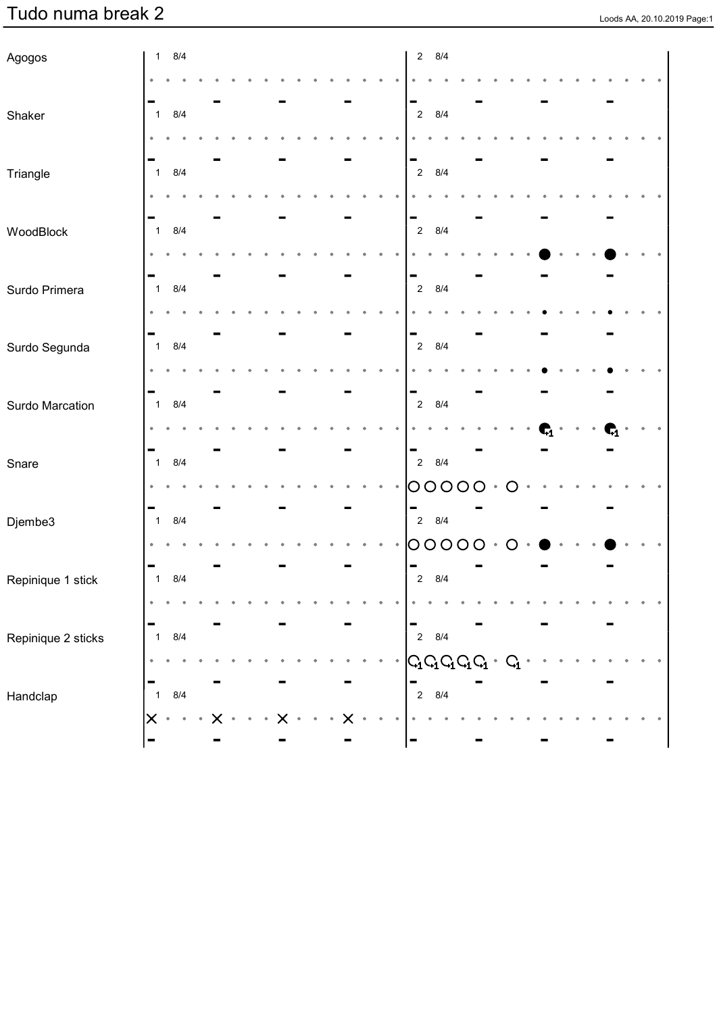| Agogos             |               | $1 \t 8/4$ |  |  |  |  |  | 8/4<br>$2^{\circ}$                                  |   |           |                  |    |  |  |  |
|--------------------|---------------|------------|--|--|--|--|--|-----------------------------------------------------|---|-----------|------------------|----|--|--|--|
|                    |               |            |  |  |  |  |  |                                                     |   |           |                  |    |  |  |  |
|                    |               |            |  |  |  |  |  | -                                                   |   |           |                  |    |  |  |  |
| Shaker             | $\mathbf{1}$  | 8/4        |  |  |  |  |  | 8/4<br>$\sqrt{2}$                                   |   |           |                  |    |  |  |  |
|                    |               |            |  |  |  |  |  |                                                     |   |           |                  |    |  |  |  |
| Triangle           | $\mathbf{1}$  | 8/4        |  |  |  |  |  | ▀<br>8/4<br>$\sqrt{2}$                              |   |           |                  |    |  |  |  |
|                    |               |            |  |  |  |  |  |                                                     |   |           |                  |    |  |  |  |
|                    |               |            |  |  |  |  |  | -                                                   |   |           |                  |    |  |  |  |
| WoodBlock          | $\mathbf{1}$  | 8/4        |  |  |  |  |  | 8/4<br>$\sqrt{2}$                                   |   |           |                  |    |  |  |  |
|                    |               |            |  |  |  |  |  |                                                     |   |           |                  |    |  |  |  |
|                    |               |            |  |  |  |  |  | -                                                   |   |           |                  |    |  |  |  |
| Surdo Primera      | $\mathbf{1}$  | 8/4        |  |  |  |  |  | 8/4<br>$\sqrt{2}$                                   |   |           |                  |    |  |  |  |
|                    |               |            |  |  |  |  |  |                                                     |   |           |                  |    |  |  |  |
| Surdo Segunda      | $\mathbf{1}$  | 8/4        |  |  |  |  |  | ÷<br>8/4<br>$\sqrt{2}$                              |   |           |                  |    |  |  |  |
|                    |               |            |  |  |  |  |  |                                                     |   |           |                  |    |  |  |  |
|                    |               |            |  |  |  |  |  | -                                                   |   |           |                  |    |  |  |  |
| Surdo Marcation    | $\mathbf{1}$  | 8/4        |  |  |  |  |  | 8/4<br>$\sqrt{2}$                                   |   |           |                  |    |  |  |  |
|                    |               |            |  |  |  |  |  |                                                     |   |           |                  | G1 |  |  |  |
|                    |               | 8/4        |  |  |  |  |  | -<br>8/4<br>$\overline{2}$                          |   |           |                  |    |  |  |  |
| Snare              | $\mathbf{1}$  |            |  |  |  |  |  |                                                     |   |           |                  |    |  |  |  |
|                    |               |            |  |  |  |  |  | 00000                                               |   | $\bullet$ | $\overline{C}$   |    |  |  |  |
| Djembe3            | $\mathbf{1}$  | 8/4        |  |  |  |  |  | -<br>$2 \quad 8/4$                                  |   |           |                  |    |  |  |  |
|                    |               |            |  |  |  |  |  | 0000                                                | O | $\bullet$ | $\left( \right)$ |    |  |  |  |
|                    |               |            |  |  |  |  |  | $\overline{\phantom{0}}$                            |   |           |                  |    |  |  |  |
| Repinique 1 stick  | $\mathbf{1}$  | 8/4        |  |  |  |  |  | 8/4<br>$\overline{2}$                               |   |           |                  |    |  |  |  |
|                    |               |            |  |  |  |  |  |                                                     |   |           |                  |    |  |  |  |
| Repinique 2 sticks | $\mathbf{1}$  | 8/4        |  |  |  |  |  | $2\quad 8/4$                                        |   |           |                  |    |  |  |  |
|                    |               |            |  |  |  |  |  |                                                     |   |           |                  |    |  |  |  |
|                    |               |            |  |  |  |  |  | $G_{\!\!1} G_{\!\!1} G_{\!\!1} G_{\!\!1} G_{\!\!1}$ |   |           |                  |    |  |  |  |
| Handclap           | $\mathbf{1}$  | 8/4        |  |  |  |  |  | $\overline{2}$<br>8/4                               |   |           |                  |    |  |  |  |
|                    | $\bm{\times}$ | $\bullet$  |  |  |  |  |  |                                                     |   |           |                  |    |  |  |  |
|                    |               |            |  |  |  |  |  |                                                     |   |           |                  |    |  |  |  |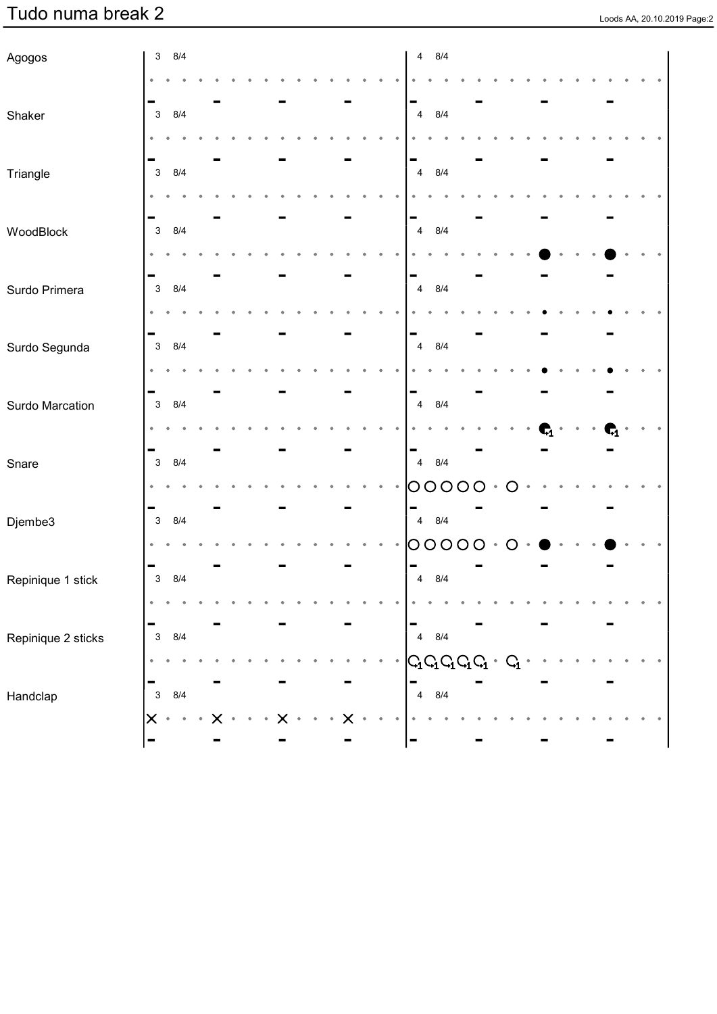| Agogos             | 8/4<br>$\mathbf{3}$                   |  |  |  |   |  |           | 8/4<br>$\overline{4}$                                      |  |  |  |  |  |
|--------------------|---------------------------------------|--|--|--|---|--|-----------|------------------------------------------------------------|--|--|--|--|--|
|                    |                                       |  |  |  |   |  |           |                                                            |  |  |  |  |  |
|                    |                                       |  |  |  |   |  |           |                                                            |  |  |  |  |  |
| Shaker             | 8/4<br>$\mathbf{3}$                   |  |  |  |   |  |           | 8/4<br>$\overline{4}$                                      |  |  |  |  |  |
|                    |                                       |  |  |  |   |  |           |                                                            |  |  |  |  |  |
| Triangle           | $\mathbf{3}$<br>8/4                   |  |  |  |   |  |           | -<br>$\overline{4}$<br>8/4                                 |  |  |  |  |  |
|                    |                                       |  |  |  |   |  |           |                                                            |  |  |  |  |  |
|                    | ۰                                     |  |  |  |   |  |           | -                                                          |  |  |  |  |  |
| WoodBlock          | $\mathbf{3}$<br>8/4                   |  |  |  |   |  |           | 8/4<br>$\overline{4}$                                      |  |  |  |  |  |
|                    |                                       |  |  |  |   |  |           |                                                            |  |  |  |  |  |
|                    | -                                     |  |  |  |   |  |           | -                                                          |  |  |  |  |  |
| Surdo Primera      | 8/4<br>$\mathbf{3}$                   |  |  |  |   |  |           | $\overline{4}$<br>8/4                                      |  |  |  |  |  |
|                    |                                       |  |  |  |   |  |           |                                                            |  |  |  |  |  |
| Surdo Segunda      | -<br>8/4<br>$\mathbf{3}$              |  |  |  |   |  |           | -<br>8/4<br>$\overline{4}$                                 |  |  |  |  |  |
|                    |                                       |  |  |  |   |  |           |                                                            |  |  |  |  |  |
|                    | -                                     |  |  |  |   |  |           | -                                                          |  |  |  |  |  |
| Surdo Marcation    | 8/4<br>$\mathbf{3}$                   |  |  |  |   |  |           | $\overline{4}$<br>8/4                                      |  |  |  |  |  |
|                    |                                       |  |  |  |   |  |           |                                                            |  |  |  |  |  |
|                    | -                                     |  |  |  |   |  |           | $\blacksquare$                                             |  |  |  |  |  |
| Snare              | 8/4<br>$\ensuremath{\mathsf{3}}$      |  |  |  |   |  |           | 8/4<br>$\overline{4}$                                      |  |  |  |  |  |
|                    |                                       |  |  |  |   |  |           | O<br>$\circlearrowright$<br>O                              |  |  |  |  |  |
| Djembe3            | 8/4<br>3                              |  |  |  |   |  |           | 8/4<br>$\overline{4}$                                      |  |  |  |  |  |
|                    |                                       |  |  |  |   |  |           | O<br>O<br>O                                                |  |  |  |  |  |
|                    | -                                     |  |  |  |   |  |           |                                                            |  |  |  |  |  |
| Repinique 1 stick  | $\mathsf 3$<br>8/4                    |  |  |  |   |  |           | $\overline{\mathbf{4}}$<br>8/4                             |  |  |  |  |  |
|                    |                                       |  |  |  |   |  |           |                                                            |  |  |  |  |  |
|                    |                                       |  |  |  |   |  |           |                                                            |  |  |  |  |  |
| Repinique 2 sticks | $\ensuremath{\mathsf{3}}$<br>8/4      |  |  |  |   |  |           | $\overline{4}$<br>$8/4$                                    |  |  |  |  |  |
|                    | ٠                                     |  |  |  |   |  | $\bullet$ | $\boxed{\mathsf{G}_1\mathsf{G}_1\mathsf{G}_1\mathsf{G}_1}$ |  |  |  |  |  |
| Handclap           | ۰<br>8/4<br>$\ensuremath{\mathsf{3}}$ |  |  |  |   |  |           | $\overline{\mathbf{4}}$<br>8/4                             |  |  |  |  |  |
|                    | $\boldsymbol{\times}$<br>$\bullet$    |  |  |  | X |  |           |                                                            |  |  |  |  |  |
|                    |                                       |  |  |  |   |  |           | -                                                          |  |  |  |  |  |
|                    |                                       |  |  |  |   |  |           |                                                            |  |  |  |  |  |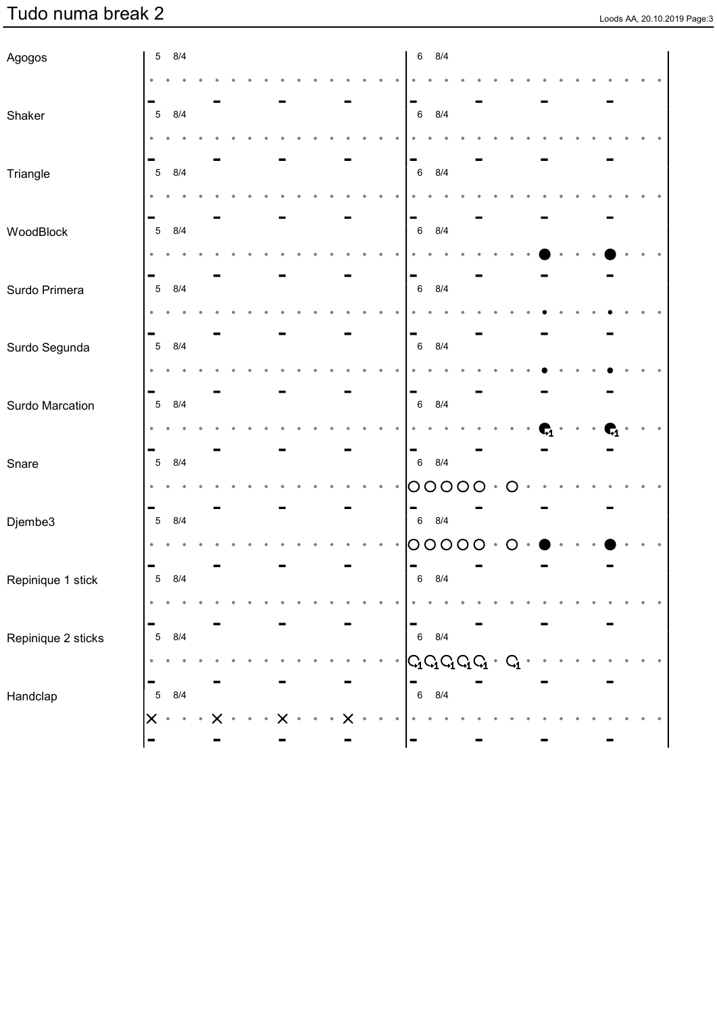| Agogos             |                | 5 8/4     |  |  |  |  |  | 8/4<br>$\,6\,$                                     |        |  |  |  |  |  |
|--------------------|----------------|-----------|--|--|--|--|--|----------------------------------------------------|--------|--|--|--|--|--|
|                    |                |           |  |  |  |  |  |                                                    |        |  |  |  |  |  |
|                    |                |           |  |  |  |  |  | -                                                  |        |  |  |  |  |  |
| Shaker             | $\,$ 5 $\,$    | 8/4       |  |  |  |  |  | 8/4<br>$\,6\,$                                     |        |  |  |  |  |  |
|                    |                |           |  |  |  |  |  |                                                    |        |  |  |  |  |  |
| Triangle           | $\overline{5}$ | 8/4       |  |  |  |  |  | -<br>8/4<br>$\,6\,$                                |        |  |  |  |  |  |
|                    |                |           |  |  |  |  |  |                                                    |        |  |  |  |  |  |
|                    |                |           |  |  |  |  |  | -                                                  |        |  |  |  |  |  |
| WoodBlock          | $\overline{5}$ | 8/4       |  |  |  |  |  | 8/4<br>$\,6\,$                                     |        |  |  |  |  |  |
|                    |                |           |  |  |  |  |  |                                                    |        |  |  |  |  |  |
| Surdo Primera      | $\sqrt{5}$     | 8/4       |  |  |  |  |  | ▀<br>8/4<br>$\,6\,$                                |        |  |  |  |  |  |
|                    |                |           |  |  |  |  |  |                                                    |        |  |  |  |  |  |
|                    |                |           |  |  |  |  |  | -                                                  |        |  |  |  |  |  |
| Surdo Segunda      | $\sqrt{5}$     | 8/4       |  |  |  |  |  | 8/4<br>$\,6\,$                                     |        |  |  |  |  |  |
|                    |                |           |  |  |  |  |  |                                                    |        |  |  |  |  |  |
|                    |                |           |  |  |  |  |  | -                                                  |        |  |  |  |  |  |
| Surdo Marcation    | $\overline{5}$ | 8/4       |  |  |  |  |  | 8/4<br>$\,6\,$                                     |        |  |  |  |  |  |
|                    |                |           |  |  |  |  |  |                                                    |        |  |  |  |  |  |
| Snare              | $\sqrt{5}$     | 8/4       |  |  |  |  |  | $\qquad \qquad$<br>8/4<br>$6\phantom{.0}$          |        |  |  |  |  |  |
|                    |                |           |  |  |  |  |  | 000<br>O                                           | Ő      |  |  |  |  |  |
|                    |                |           |  |  |  |  |  | -                                                  |        |  |  |  |  |  |
| Djembe3            | $\sqrt{5}$     | 8/4       |  |  |  |  |  | 8/4<br>$6\phantom{.0}$                             |        |  |  |  |  |  |
|                    |                |           |  |  |  |  |  | O<br>$\circ$<br>O<br>Ő                             | $\cup$ |  |  |  |  |  |
|                    | $\sqrt{5}$     | 8/4       |  |  |  |  |  | ▬<br>8/4<br>$\,6\,$                                |        |  |  |  |  |  |
| Repinique 1 stick  |                |           |  |  |  |  |  |                                                    |        |  |  |  |  |  |
|                    | ۰              |           |  |  |  |  |  | -                                                  |        |  |  |  |  |  |
| Repinique 2 sticks | $\sqrt{5}$     | 8/4       |  |  |  |  |  | $\,$ 6 $\,$<br>8/4                                 |        |  |  |  |  |  |
|                    | ٠              |           |  |  |  |  |  | $G_{\mathbf{Q}}$ $G_{\mathbf{Q}}$ $G_{\mathbf{Q}}$ |        |  |  |  |  |  |
|                    |                |           |  |  |  |  |  | -                                                  |        |  |  |  |  |  |
| Handclap           | $\mathbf 5$    | 8/4       |  |  |  |  |  | $\,6\,$<br>8/4                                     |        |  |  |  |  |  |
|                    | $\times$       | $\bullet$ |  |  |  |  |  |                                                    |        |  |  |  |  |  |
|                    |                |           |  |  |  |  |  | $\blacksquare$                                     |        |  |  |  |  |  |